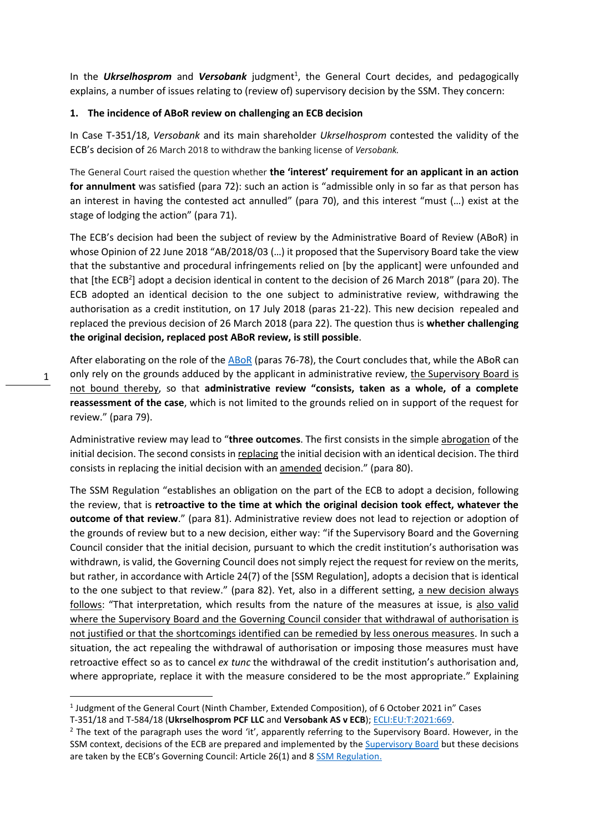In the **Ukrselhosprom** and Versobank judgment<sup>1</sup>, the General Court decides, and pedagogically explains, a number of issues relating to (review of) supervisory decision by the SSM. They concern:

#### **1. The incidence of ABoR review on challenging an ECB decision**

In Case T‑351/18, *Versobank* and its main shareholder *Ukrselhosprom* contested the validity of the ECB's decision of 26 March 2018 to withdraw the banking license of *Versobank.*

The General Court raised the question whether **the 'interest' requirement for an applicant in an action for annulment** was satisfied (para 72): such an action is "admissible only in so far as that person has an interest in having the contested act annulled" (para 70), and this interest "must (…) exist at the stage of lodging the action" (para 71).

The ECB's decision had been the subject of review by the Administrative Board of Review (ABoR) in whose Opinion of 22 June 2018 "AB/2018/03 (…) it proposed that the Supervisory Board take the view that the substantive and procedural infringements relied on [by the applicant] were unfounded and that [the ECB<sup>2</sup>] adopt a decision identical in content to the decision of 26 March 2018" (para 20). The ECB adopted an identical decision to the one subject to administrative review, withdrawing the authorisation as a credit institution, on 17 July 2018 (paras 21-22). This new decision repealed and replaced the previous decision of 26 March 2018 (para 22). The question thus is **whether challenging the original decision, replaced post ABoR review, is still possible**.

After elaborating on the role of th[e ABoR](https://www.bankingsupervision.europa.eu/about/ssmexplained/html/abor.en.html) (paras 76-78), the Court concludes that, while the ABoR can only rely on the grounds adduced by the applicant in administrative review, the Supervisory Board is not bound thereby, so that **administrative review "consists, taken as a whole, of a complete reassessment of the case**, which is not limited to the grounds relied on in support of the request for review." (para 79).

Administrative review may lead to "**three outcomes**. The first consists in the simple abrogation of the initial decision. The second consists in replacing the initial decision with an identical decision. The third consists in replacing the initial decision with an **amended** decision." (para 80).

The SSM Regulation "establishes an obligation on the part of the ECB to adopt a decision, following the review, that is **retroactive to the time at which the original decision took effect, whatever the outcome of that review**." (para 81). Administrative review does not lead to rejection or adoption of the grounds of review but to a new decision, either way: "if the Supervisory Board and the Governing Council consider that the initial decision, pursuant to which the credit institution's authorisation was withdrawn, is valid, the Governing Council does not simply reject the request for review on the merits, but rather, in accordance with Article 24(7) of the [SSM Regulation], adopts a decision that is identical to the one subject to that review." (para 82). Yet, also in a different setting, a new decision always follows: "That interpretation, which results from the nature of the measures at issue, is also valid where the Supervisory Board and the Governing Council consider that withdrawal of authorisation is not justified or that the shortcomings identified can be remedied by less onerous measures. In such a situation, the act repealing the withdrawal of authorisation or imposing those measures must have retroactive effect so as to cancel *ex tunc* the withdrawal of the credit institution's authorisation and, where appropriate, replace it with the measure considered to be the most appropriate." Explaining

<sup>&</sup>lt;sup>1</sup> Judgment of the General Court (Ninth Chamber, Extended Composition), of 6 October 2021 in" Cases

T-351/18 and T-584/18 (**Ukrselhosprom PCF LLC** and **Versobank AS v ECB**)[; ECLI:EU:T:2021:669.](https://curia.europa.eu/juris/document/document_print.jsf?docid=247115&text=&dir=&doclang=EN&part=1&occ=first&mode=lst&pageIndex=0&cid=1297073)

<sup>&</sup>lt;sup>2</sup> The text of the paragraph uses the word 'it', apparently referring to the Supervisory Board. However, in the SSM context, decisions of the ECB are prepared and implemented by th[e Supervisory Board](https://www.ecb.europa.eu/ecb/orga/decisions/ssm/html/index.en.html) but these decisions are taken by the ECB's Governing Council: Article 26(1) and 8 [SSM Regulation.](https://eur-lex.europa.eu/legal-content/EN/TXT/PDF/?uri=CELEX:32013R1024&from=EN)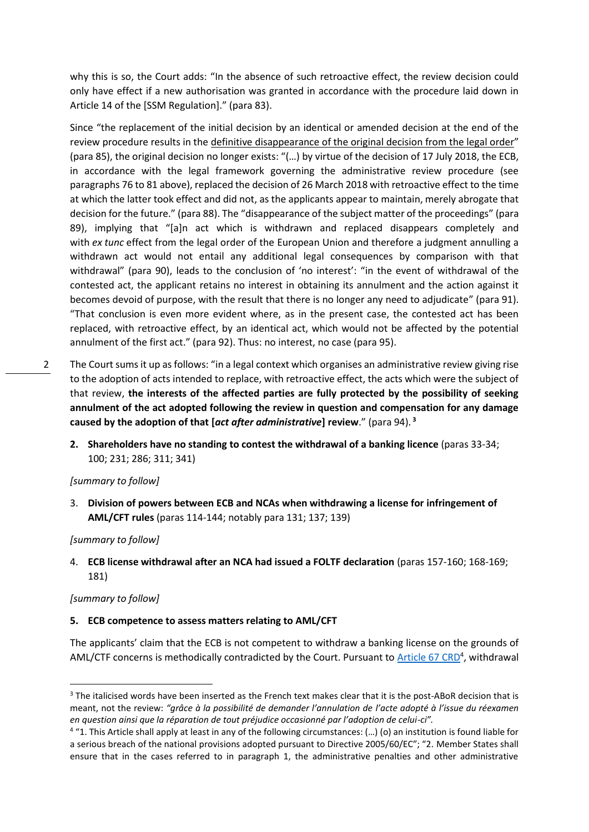why this is so, the Court adds: "In the absence of such retroactive effect, the review decision could only have effect if a new authorisation was granted in accordance with the procedure laid down in Article 14 of the [SSM Regulation]." (para 83).

Since "the replacement of the initial decision by an identical or amended decision at the end of the review procedure results in the definitive disappearance of the original decision from the legal order" (para 85), the original decision no longer exists: "(…) by virtue of the decision of 17 July 2018, the ECB, in accordance with the legal framework governing the administrative review procedure (see paragraphs 76 to 81 above), replaced the decision of 26 March 2018 with retroactive effect to the time at which the latter took effect and did not, as the applicants appear to maintain, merely abrogate that decision for the future." (para 88). The "disappearance of the subject matter of the proceedings" (para 89), implying that "[a]n act which is withdrawn and replaced disappears completely and with *ex tunc* effect from the legal order of the European Union and therefore a judgment annulling a withdrawn act would not entail any additional legal consequences by comparison with that withdrawal" (para 90), leads to the conclusion of 'no interest': "in the event of withdrawal of the contested act, the applicant retains no interest in obtaining its annulment and the action against it becomes devoid of purpose, with the result that there is no longer any need to adjudicate" (para 91). "That conclusion is even more evident where, as in the present case, the contested act has been replaced, with retroactive effect, by an identical act, which would not be affected by the potential annulment of the first act." (para 92). Thus: no interest, no case (para 95).

- 2 The Court sums it up as follows: "in a legal context which organises an administrative review giving rise to the adoption of acts intended to replace, with retroactive effect, the acts which were the subject of that review, **the interests of the affected parties are fully protected by the possibility of seeking annulment of the act adopted following the review in question and compensation for any damage caused by the adoption of that [***act after administrative***] review**." (para 94). **<sup>3</sup>**
	- **2. Shareholders have no standing to contest the withdrawal of a banking licence** (paras 33-34; 100; 231; 286; 311; 341)

## *[summary to follow]*

3. **Division of powers between ECB and NCAs when withdrawing a license for infringement of AML/CFT rules** (paras 114-144; notably para 131; 137; 139)

*[summary to follow]*

4. **ECB license withdrawal after an NCA had issued a FOLTF declaration** (paras 157-160; 168-169; 181)

## *[summary to follow]*

## **5. ECB competence to assess matters relating to AML/CFT**

The applicants' claim that the ECB is not competent to withdraw a banking license on the grounds of AML/CTF concerns is methodically contradicted by the Court. Pursuant to [Article 67 CRD](https://www.eba.europa.eu/regulation-and-policy/single-rulebook/interactive-single-rulebook/101118)<sup>4</sup>, withdrawal

<sup>&</sup>lt;sup>3</sup> The italicised words have been inserted as the French text makes clear that it is the post-ABoR decision that is meant, not the review: *"grâce à la possibilité de demander l'annulation de l'acte adopté à l'issue du réexamen en question ainsi que la réparation de tout préjudice occasionné par l'adoption de celui-ci".*

<sup>&</sup>lt;sup>4</sup> "1. This Article shall apply at least in any of the following circumstances: (...) (o) an institution is found liable for a serious breach of the national provisions adopted pursuant to Directive 2005/60/EC"; "2. Member States shall ensure that in the cases referred to in paragraph 1, the administrative penalties and other administrative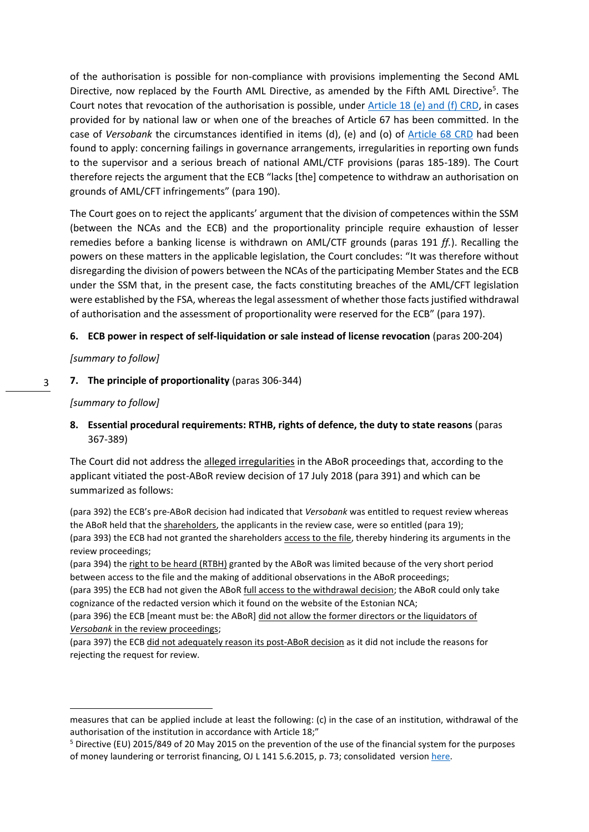of the authorisation is possible for non-compliance with provisions implementing the Second AML Directive, now replaced by the Fourth AML Directive, as amended by the Fifth AML Directive<sup>5</sup>. The Court notes that revocation of the authorisation is possible, under [Article 18 \(e\) and \(f\) CRD,](https://www.eba.europa.eu/regulation-and-policy/single-rulebook/interactive-single-rulebook/100856) in cases provided for by national law or when one of the breaches of Article 67 has been committed. In the case of *Versobank* the circumstances identified in items (d), (e) and (o) of [Article 68 CRD](https://www.eba.europa.eu/regulation-and-policy/single-rulebook/interactive-single-rulebook/101118) had been found to apply: concerning failings in governance arrangements, irregularities in reporting own funds to the supervisor and a serious breach of national AML/CTF provisions (paras 185-189). The Court therefore rejects the argument that the ECB "lacks [the] competence to withdraw an authorisation on grounds of AML/CFT infringements" (para 190).

The Court goes on to reject the applicants' argument that the division of competences within the SSM (between the NCAs and the ECB) and the proportionality principle require exhaustion of lesser remedies before a banking license is withdrawn on AML/CTF grounds (paras 191 *ff.*). Recalling the powers on these matters in the applicable legislation, the Court concludes: "It was therefore without disregarding the division of powers between the NCAs of the participating Member States and the ECB under the SSM that, in the present case, the facts constituting breaches of the AML/CFT legislation were established by the FSA, whereas the legal assessment of whether those facts justified withdrawal of authorisation and the assessment of proportionality were reserved for the ECB" (para 197).

# **6. ECB power in respect of self-liquidation or sale instead of license revocation** (paras 200-204)

## *[summary to follow]*

#### 3 **7. The principle of proportionality** (paras 306-344)

# *[summary to follow]*

**8. Essential procedural requirements: RTHB, rights of defence, the duty to state reasons** (paras 367-389)

The Court did not address the alleged irregularities in the ABoR proceedings that, according to the applicant vitiated the post-ABoR review decision of 17 July 2018 (para 391) and which can be summarized as follows:

(para 392) the ECB's pre-ABoR decision had indicated that *Versobank* was entitled to request review whereas the ABoR held that the shareholders, the applicants in the review case, were so entitled (para 19); (para 393) the ECB had not granted the shareholders access to the file, thereby hindering its arguments in the review proceedings;

(para 394) the right to be heard (RTBH) granted by the ABoR was limited because of the very short period between access to the file and the making of additional observations in the ABoR proceedings;

(para 395) the ECB had not given the ABoR full access to the withdrawal decision; the ABoR could only take cognizance of the redacted version which it found on the website of the Estonian NCA;

(para 396) the ECB [meant must be: the ABoR] did not allow the former directors or the liquidators of *Versobank* in the review proceedings;

(para 397) the ECB did not adequately reason its post-ABoR decision as it did not include the reasons for rejecting the request for review.

measures that can be applied include at least the following: (c) in the case of an institution, withdrawal of the authorisation of the institution in accordance with Article 18;"

<sup>5</sup> Directive (EU) 2015/849 of 20 May 2015 on the prevention of the use of the financial system for the purposes of money laundering or terrorist financing, OJ L 141 5.6.2015, p. 73; consolidated versio[n here.](https://eur-lex.europa.eu/legal-content/EN/TXT/?uri=CELEX%3A02015L0849-20210630)